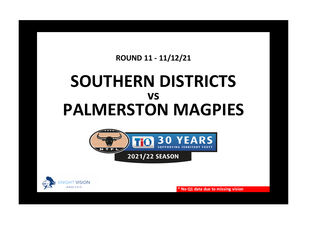## **ROUND 11 - 11/12/21**

## **SOUTHERN DISTRICTS PALMERSTON MAGPIES vs**





**\* No Q1 data due to missing vision**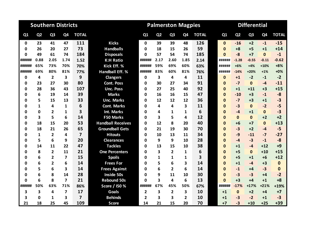|                |                | <b>Southern Districts</b> |                         |                         |                          |          |                | <b>Palmerston Magpies</b> |                         |              |  | <b>Differential</b> |                |                |                |              |
|----------------|----------------|---------------------------|-------------------------|-------------------------|--------------------------|----------|----------------|---------------------------|-------------------------|--------------|--|---------------------|----------------|----------------|----------------|--------------|
| Q <sub>1</sub> | Q <sub>2</sub> | Q <sub>3</sub>            | Q4                      | <b>TOTAL</b>            |                          | Q1       | Q <sub>2</sub> | Q <sub>3</sub>            | Q <sub>4</sub>          | <b>TOTAL</b> |  | Q1                  | Q <sub>2</sub> | Q <sub>3</sub> | Q <sub>4</sub> | <b>TOTAL</b> |
| 0              | 23             | 41                        | 47                      | 111                     | <b>Kicks</b>             | $\Omega$ | 39             | 39                        | 48                      | 126          |  | $\mathbf{0}$        | $-16$          | $+2$           | $-1$           | $-15$        |
| 0              | 26             | 20                        | 27                      | 73                      | <b>Handballs</b>         | 0        | 18             | 15                        | 26                      | 59           |  | $\Omega$            | $+8$           | $+5$           | $+1$           | $+14$        |
| 0              | 49             | 61                        | 74                      | 184                     | <b>Disposals</b>         | 0        | 57             | 54                        | 74                      | 185          |  | $\mathbf{0}$        | $-8$           | $+7$           | $\mathbf 0$    | $-1$         |
| ######         | 0.88           | 2.05                      | 1.74                    | 1.52                    | <b>K:H Ratio</b>         | ######   | 2.17           | 2.60                      | 1.85                    | 2.14         |  | ######              | $-1.28$        | $-0.55$        | $-0.11$        | $-0.62$      |
| ######         | 65%            | 73%                       | 70%                     | 70%                     | Kick Eff. %              | ######   | 59%            | 69%                       | 60%                     | 63%          |  | ######              | $+6%$          | $+4%$          | $+10%$         | $+8%$        |
| ######         | 69%            | 80%                       | 81%                     | 77%                     | <b>Handball Eff. %</b>   | ######   | 83%            | 60%                       | 81%                     | 76%          |  | ######              | $-14%$         | $+20%$         | $+1%$          | $+0%$        |
| 0              | 4              | $\overline{2}$            | 3                       | 9                       | <b>Clangers</b>          | 0        | 3              | 4                         | 4                       | 11           |  | $\bf{0}$            | $+1$           | $-2$           | $-1$           | $-2$         |
| 0              | 23             | 27                        | 30                      | 80                      | <b>Cont. Poss</b>        | 0        | 30             | 27                        | 34                      | 91           |  | $\bf{0}$            | $-7$           | $\mathbf{0}$   | $-4$           | $-11$        |
| 0              | 28             | 36                        | 43                      | 107                     | <b>Unc. Poss</b>         | 0        | 27             | 25                        | 40                      | 92           |  | $\Omega$            | $+1$           | $+11$          | $+3$           | $+15$        |
| 0              | 6              | 19                        | 14                      | 39                      | <b>Marks</b>             | 0        | 16             | 16                        | 15                      | 47           |  | $\mathbf{0}$        | $-10$          | $+3$           | $-1$           | $-8$         |
| Ω              | 5              | 15                        | 13                      | 33                      | <b>Unc. Marks</b>        | U        | 12             | 12                        | 12                      | 36           |  | $\Omega$            | $-7$           | $+3$           | $+1$           | $-3$         |
| 0              | 1              | 4                         | 1                       | 6                       | <b>Cont. Marks</b>       | ŋ        | 4              | 4                         | $\overline{\mathbf{3}}$ | 11           |  | $\Omega$            | $-3$           | $\Omega$       | $-2$           | $-5$         |
| Ω              | 0              | $\overline{2}$            | 1                       | 3                       | Int. Marks               | O        | 4              | 1                         | 1                       | 6            |  | $\Omega$            | $-4$           | $+1$           | $\mathbf 0$    | $-3$         |
| 0              | 3              | 5                         | 6                       | 14                      | <b>F50 Marks</b>         | O        | 3              | 5                         | 4                       | 12           |  | $\Omega$            | $\mathbf{0}$   | $\mathbf{0}$   | $+2$           | $+2$         |
| 0              | 18             | 15                        | 20                      | 53                      | <b>Handball Receives</b> | 0        | 12             | 8                         | 20                      | 40           |  | $\mathbf{0}$        | $+6$           | $+7$           | $\mathbf{0}$   | $+13$        |
| 0              | 18             | 21                        | 26                      | 65                      | <b>Groundball Gets</b>   | 0        | 21             | 19                        | 30                      | 70           |  | $\bf{0}$            | $-3$           | $+2$           | $-4$           | $-5$         |
| 0              | $\mathbf{1}$   | $\overline{2}$            | 4                       | $\overline{\mathbf{z}}$ | <b>Hitouts</b>           | 0        | 10             | 13                        | 11                      | 34           |  | $\Omega$            | $-9$           | $-11$          | $-7$           | $-27$        |
| Ω              | 5              | 6                         | 9                       | 20                      | <b>Clearances</b>        | ŋ        | 9              | 9                         | 10                      | 28           |  | $\bf{0}$            | $-4$           | $-3$           | $-1$           | $-8$         |
| 0              | 14             | 11                        | 22                      | 47                      | <b>Tackles</b>           | 0        | 13             | 15                        | 10                      | 38           |  | $\mathbf{0}$        | $+1$           | $-4$           | $+12$          | $+9$         |
| 0              | 8              | $\overline{2}$            | 11                      | 21                      | <b>One Percenters</b>    | ŋ        | 3              | $\overline{2}$            | 1                       | 6            |  | $\bf{0}$            | $+5$           | $\mathbf{0}$   | $+10$          | $+15$        |
| ω              | 6              | $\overline{2}$            | 7                       | 15                      | <b>Spoils</b>            | ŋ        | 1              | 1                         | 1                       | 3            |  | $\Omega$            | $+5$           | $+1$           | $+6$           | $+12$        |
| 0              | 6              | $\overline{2}$            | 6                       | 14                      | <b>Frees For</b>         | ŋ        | 5              | 6                         | 3                       | 14           |  | $\Omega$            | $+1$           | $-4$           | $+3$           | $\bf{0}$     |
| 0              | 5              | 6                         | 3                       | 14                      | <b>Frees Against</b>     | 0        | 6              | $\overline{2}$            | 6                       | 14           |  | $\Omega$            | $-1$           | $+4$           | $-3$           | $\bf{0}$     |
| 0              | 6              | 8                         | 14                      | 28                      | Inside 50s               | ŋ        | 9              | 11                        | 10                      | 30           |  | $\Omega$            | $-3$           | $-3$           | $+4$           | $-2$         |
| 0              | 6              | 8                         | $\overline{\mathbf{z}}$ | 21                      | <b>Rebound 50s</b>       | 0        | 3              | 4                         | 6                       | 13           |  | $\Omega$            | $+3$           | $+4$           | $+1$           | $+8$         |
| ######         | 50%            | 63%                       | 71%                     | 86%                     | Score / I50 %            | ######   | 67%            | 45%                       | 50%                     | 67%          |  | ######              | $-17%$         | $+17%$         | $+21%$         | $+19%$       |
| 3              | 3              | 4                         | $\overline{\mathbf{z}}$ | 17                      | <b>Goals</b>             | 2        | 3              | $\overline{\mathbf{2}}$   | 3                       | 10           |  | $+1$                | $\mathbf{0}$   | $+2$           | $+4$           | $+7$         |
| 3              | 0              | 1                         | 3                       | $\overline{7}$          | <b>Behinds</b>           | 2        | 3              | 3                         | $\overline{2}$          | 10           |  | $+1$                | -3             | $-2$           | $+1$           | $-3$         |
| 21             | 18             | 25                        | 45                      | 109                     | <b>Score</b>             | 14       | 21             | 15                        | 20                      | 70           |  | $+7$                | $-3$           | $+10$          | $+25$          | $+39$        |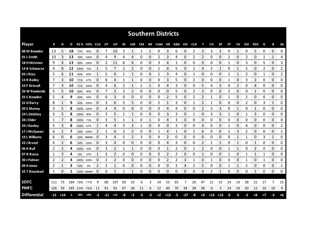|                     |       |       |           |      |             |               |               |                     |    |    |              |              | <b>Southern Districts</b> |              |     |       |            |             |       |              |    |                |     |                     |      |                          |                  |
|---------------------|-------|-------|-----------|------|-------------|---------------|---------------|---------------------|----|----|--------------|--------------|---------------------------|--------------|-----|-------|------------|-------------|-------|--------------|----|----------------|-----|---------------------|------|--------------------------|------------------|
| <b>Player</b>       | К     |       | D         |      | KE% HE% CLG |               | <b>CP</b>     | UP                  | М  | UM | CM           |              | IM F50M HR                |              | GBG | но    | <b>CLR</b> | т           | 1%    | <b>SP</b>    | FF | FA             | 150 | <b>R50</b>          | G    | в                        | <b>SA</b>        |
| 08 M Bowden         | 13    | 5     | 18        | 77%  | 40%         | 0             | 7             | 10                  | 2  | 1  | 1            | 1            | 0                         | 3            | 6   | 0     | 2          | 3           | 3     | 3            | 0  | 1              | 0   | 5                   | 0    | 0                        | 0                |
| 01 L Smith          | 10    | 3     | 13        |      | 70% 100%    | 0             | 4             | 9                   | 4  | 4  | 0            | 0            | 2                         | 3            | 4   | 0     | 2          | 2           | 0     | 0            | 2  | 0              | 2   | 0                   | 1    | 1                        | 4                |
| <b>18 H McInnes</b> | 9     | 4     | 13        | 89%  | 100%        | 0             | 2             | 11                  | 6  | 6  | 0            | 0            | 3                         | 4            | 1   | 0     | 0          | 0           | 0     | 0            | 1  | 0              | 3   | 0                   | 5    | 0                        | 3                |
| 14 B Schwarze       | 4     | 8     | 12        | 100% | 75%         | 1             | 5             | 7                   | 2  | 2  | 0            | 0            | 1                         | 4            | 5   | 0     | 2          | 4           | 2     | 1            | 0  | 1              | 2   | 0                   | 2    | 0                        | 2                |
| 03 J Ross           | 5.    | 6     | 11        | 40%  | 83%         | 1             | 5             | 6                   | 1  | 1  | 0            | 0            | 1                         | 3            | 4   | 0     | 1          | 0           | 0     | 0            | 1  | $\mathbf{1}$   | 2   | 0                   | 1    | $\Omega$                 | $\overline{2}$   |
| 13 R Bailey         | 7     | 3     | 10        | 71%  | 67%         | 0             | 6             | 4                   | 1  | 1  | 0            | 0            | 0                         | 3            | 5   | 0     | 2          | 0           | 0     | 0            | 1  | $\Omega$       | 3   | 2                   | 0    | 0                        | 0                |
| 23 F Driscoll       | 7     | 3     | 10        |      | 71% 100%    | 0             | 4             | 6                   | 2  | 1  |              | $\mathbf{1}$ | 0                         | 4            | 3   | 0     | 0          | 5           | 4     | 3            | 0  | $\overline{2}$ | 0   | 4                   | 0    | 0                        | 0                |
| 26 W Rowlands       | 5     | 5     | 10        | 60%  | 80%         | 0             | 7             | 3                   | 2  | 2  | 0            | 0            | 0                         | 0            | 5   | 0     | 2          | 3           | 0     | 0            | 2  | 0              | 0   | 1                   | 0    | 0                        | 0                |
| 25 C Bowden         | 5     | 4     | 9         | 60%  | 50%         | 0             | 6             | 3                   | 0  | 0  | 0            | 0            | 0                         | 2            | 5   | 0     | 2          | 2           |       | 0            | 1  | 0              | 2   | 0                   | 0    | 0                        | 0                |
| 31 D Barry          | 8     | 1     | 9         | 50%  | 100%        | 0             | 3             | 6                   | 5  | 5  | 0            | 0            | 2                         | 1            | 3   | 0     |            | 2           |       | 0            | 0  | 0              | 2   | 0                   | 3    | 1                        | 0                |
| 20 E Maney          | 3     | 5     | 8         |      | 100% 100%   | 0             | 4             |                     | 0  | 0  | 0            | 0            | 0                         | 4            | 4   | 0     | 0          | 2           | 3     | 3            | 0  | 1              | 0   |                     | 0    | 0                        | 0                |
| 24 L Delahey        | 3     | 5     | 8         | 100% | 80%         | 0             | 3             | 5                   | 1  | 1  | 0            | 0            | 0                         | 3            | 3   | 0     |            | 0           | 3     | 3            | 1  | 0              |     | 3                   | 0    | 0                        | 0                |
| 28 J Elder          | 1     | 7     | 8         | 100% | 71%         | 0             | 3             | 5                   | 1  | 1  | 0            | 1            | 0                         | 4            | 3   | 0     | 0          | 0           | 0     | 0            | 0  | 0              | 0   | 0                   | 0    | $\Omega$                 | 0                |
| 29 J Ganley         | 5.    | 3     | 8         | 100% | 67%         |               | 4             | 4                   | 3  | 2  |              | 0            | 0                         | 0            | 2   | 0     | 0          | 4           | 0     | 0            | 1  | 0              | Δ   | 0                   | 0    | 0                        | 2                |
| 17 J McQueen        | 6     |       |           |      | 50% 100%    | 2             | 1             | 6                   | 2  | 2  | 0            | 0            | 1                         | 4            |     | 0     |            | 6           | 0     | 0            |    | 3              | 2   | 0                   | 0    | 0                        | 1                |
| 19 L Williams       | 6     | 0     | 6         |      | 50% #####   | 0             | 3             | 4                   | 5  | 2  | 3            | 0            | 4                         | 2            | 0   | 0     | 0          | 0           | 0     | 0            | 0  | 1              |     | 0                   | 3    | 1                        | 0<br>manar       |
| 22 J Breed          | 4     | 2     | 6         |      | 50% 100%    | 0             | 3             | 4                   | 0  | 0  | 0            | 0            | 0                         | 4            | 3   | 0     | 0          | 2           | 1     | 1            | 0  | 1              | 0   |                     | 0    | 0                        | 0                |
| 06 R Bull           | 2     |       | 4         | 100% | 50%         | 0             | 3             |                     |    | 1  | 0            | 0            | 0                         | 1            | 2   | 0     |            |             | Ω     | 0            |    | 1              | 0   | 2                   | 0    | 0                        | 0                |
| 07 B Rusca          | 1     | 3     | 4         | 0%   | 67%         | 1             | 3             | 2                   | 0  | 0  | 0            | 0            | 0                         | 2            | 2   | 0     | 0          | 1           | 0     | 0            | 1  | 0              |     | 1                   |      | 0                        | 0                |
| 30 J Palmer         | 2     |       | 4         |      | 100% 100%   | 0<br>-------- | 2<br>ananana. | 2<br><b>DOM: NO</b> | 0  | 0  | 0<br>on on o | 0<br>en men  | 0                         | 2            | 2   | 3     |            | 0<br>anana. |       | 0<br>ananana | 0  | 0              |     | 0<br>an an an       |      | 0<br><b>The Contract</b> | 0<br>onarana a   |
| 09 K Jones          | 2     |       | 3         | 50%  | 0%          | 2             | 2             |                     | 0  | 0  | 0            | 0            | 0                         | 0<br>mana ay | 2   | 4     | 2          | 5           | 0     | 0            |    |                | 2   | 0<br><b>Service</b> | 0    | 0<br><b>Service</b>      | 1<br>ana amin'ny |
| 32 T Boustead       | 1     | 0     | 1         |      | 100% #####  | 0             | 0             |                     | 1  | 1  | 0            | 0            | 0                         | 0            | 0   | 0     | 0          | 4           |       | 1            | 0  | 0              | 0   | 1                   | 0    | 0                        | 0                |
| <b>SDFC</b>         | 111   | 73    | 184       | 70%  | 77%         | 9             | 80            | 107                 | 39 | 33 | 6            | 3            | 14                        | 53           | 65  | 7     | 20         | 47          | 21    | 15           | 14 | 14             | 28  | 21                  | 17   | 7                        | 15               |
| <b>PMFC</b>         | 126   | 59    | 185       |      | 63% 76%     | 11            | 91            | 92                  | 47 | 36 | 11           | 6            | 12                        | 40           | 70  | 34    | 28         | 38          | 6     | 3            | 14 | 14             | 30  | 13                  | 10   | 10                       | 9                |
| <b>Differential</b> | $-15$ | $+14$ | $\cdot$ 1 | +8%  | $+0\%$      | -2            | -11           | $+15$               | -8 | -3 | -5           | -3           | $+2$                      | $+13$        | -5  | $-27$ | -8         | $+9$        | $+15$ | $+12$        | 0  | 0              | -2  | $+8$                | $+7$ | -3                       | $+6$             |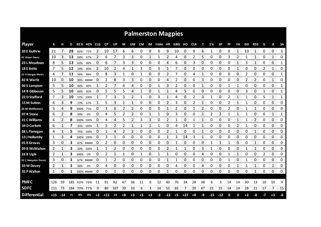|                     |       |       |      |         |            |            |           |       |      |              |           |      | <b>Palmerston Magpies</b> |              |               |       |            |              |       |           |              |              |              |              |             |              |             |
|---------------------|-------|-------|------|---------|------------|------------|-----------|-------|------|--------------|-----------|------|---------------------------|--------------|---------------|-------|------------|--------------|-------|-----------|--------------|--------------|--------------|--------------|-------------|--------------|-------------|
| <b>Player</b>       | К     |       | D    |         | KE % HE%   | <b>CLG</b> | <b>CP</b> | UP    | М    | UM           | <b>CM</b> | IM   | F50M HR                   |              | <b>GBG HO</b> |       | <b>CLR</b> | т            | 1%    | <b>SP</b> | FF           | FA           | 150          | <b>R50</b>   | G           | в            | <b>SA</b>   |
| 20 E Guthrie        | 21    |       | 28   | 62%     | 71%        | 2          | 10        | 17    | 6    | 6            | 0         | 0    | 0                         | 9            | 10            | 0     | 9          | 6            |       | 0         | 0            | 1            | 10           | 1            | 0           | 0            | 3           |
| 03 Alwyn Davey      | 10    | 3     | 13   | 60%     | 67%        | 2          | 6         | 7     | 3    | 3            | 0         | 1    | 1                         | 2            | 4             | 0     | 2          | 5            | 0     | 0         | 3            | 2            | 1            | 1            | 0           | 1            | 0           |
| 23 L Meadows        | 8     | 5     | 13   | 63%     | 80%        | 0          | 6         |       | 3    | 3            | 0         | 0    | 0                         | 4            | 6             | 0     | 3          | 0            | 0     | 0         | 0            | 1            | 3            | 1            | 0           | 0            | 1           |
| 18 E Betts          | 7     | 5     | 12   | 29%     | 80%        | 2          | 10        | 2     | 4    | 1            | 3         | 0    | 3                         | 1            | 7             | 0     | 0          | 0            | 0     | 0         | 0            | 1            | 0            | 0            | 2           | $\mathbf{1}$ | 0           |
| 25 H Morgan-Morris  | 4     |       | 11   | 50%     | 86%        | 0          | 8         | 3     | 1    | 0            | 1         | 0    | 0                         | 2            |               | 0     | 4          | 1            | 0     | 0         | 0            | 0            | 2            | 0            | 0           | 0            | 1           |
| 02 R Warfe          | 10    | 0     | 10   | 90%     | #####      | 0          | 2         | 8     | 3    | 3            | 0         | 0    | 0                         | 4            | 2             | 0     | 0          | 3            | 0     | 0         | 0            | 0            | 2            | 2            | 0           | 1            | 0           |
| 06 S Lampton        | 5     |       | 10   | 60%     | 80%        |            | 2         |       | 4    | 4            | 0         | 0    | 1                         | 3            | 2             | 0     | 0          | 1            | 0     | 0         |              | 1            | 0            | 0            | 0           | 0            | 1           |
| 14 B Gibbeson       | 5     | 5     | 10   | 60%     | 80%        | 0          | 5         | 5     | 5    | 4            | 1         | 0    | 1                         | 1            | 4             | 5     | 0          | 0            | 0     | 0         | 0            | 0            | 3            | 0            | 1           | 0            | 1           |
| 22 D Stafford       | 7     |       | 10   |         | 57% 100%   |            | 7         | 3     | 3    | 2            | 1         | 0    | 3                         | 1            | 4             | 0     | 2          | 3            | 1     | 0         | 2            | 1            | -1           | 0            | 5           | 1            | 1           |
| 15 M Sutton         | 6     | 3     | 9    | 17%     | 67%        | 1          | 5         | 3     | 1    | $\mathbf{1}$ | 0         | 0    | 0                         | 2            | 3             | 0     | 2          | $\mathbf{1}$ | 0     | 0         | 2            | $\mathbf{1}$ | 1            | 0            | $\mathbf 0$ | 0            | 0           |
| 24 M McMasters      | 5     | 4     | 9    | 100%    | 75%        | 0          | 3         | 6     | 2    | 2            | 0         | 0    | 0                         | $\mathbf{1}$ | 2             | 0     |            | 2            | 0     | 0         | 2            | 0            |              | $\mathbf{1}$ | 0           | 0            | 0           |
| 07 R Stone          | 6     | 2     | 8    | 50%     | 0%         | 0          | 4         | 5     | 2    | 2            | 0         | 1    | 1                         | 0            | 3             | 0     | 0          | 1            | 2     | 2         | $\mathbf{1}$ | 1            | 1            | 0            | 0           | 1            | 1           |
| 21 C Williams       | 6     | 2     | 8    |         | 100% 100%  | 0          | 4         | 4     | 5    | 2            | 3         | 3    | 0                         | 2            | 1             | 0     | 1          | 1            | 0     | 0         | 0            | $\mathbf{1}$ | 1            | 2            | 0           | 0            | 0           |
| 34 D Corbett        | 6     | 1     | 7    |         | 33% 100%   | 1          | 5         | 2     | 2    | 1            | 1         | 1    | 1                         | 0            | 4             | 14    | 1          | 1            | 0     | 0         | 0            | 2            | $\mathbf{1}$ | 0            | 0           | 0            | 0           |
| 08 L Flanagan       | 4     |       | 5    |         | 75% 100%   | 0          |           |       |      |              | 0         | 0    | 0                         | 2            |               | 0     | 0          |              |       | 0         | 0            | 0            | 0            |              | 0           | 0            | 0           |
| 13 J Hollamby       | 1     | 3     | 4    |         | 100% 100%  | 0          | 3         |       | 0    | 0            | 0         | 0    | 0                         |              | 3             | 14    | 3          | 1            | Ω     | 0         | 0            | 0            | 0            | 0            | 0           | 0            | 0<br>ana ar |
| 01 K Groves         | 3     | 0     | 3    |         | 67% #####  | 0          | 2         | 0     | Ω    | 0            | 0         | 0    | 0                         | 0            |               | 0     | 0          | 0            |       |           |              | 0            | 0            |              | 0           | 0            | 0           |
| 09 B McMahon        | 2     |       | З    | 50%     | 100%       |            |           | 2     | 0    | 0            | 0         | 0    | 0                         | 2            |               |       | 0          | 3            |       | 0         | 0            | 0            |              |              | 0           | 0            | 0           |
| 16 B Ugle           | 2     |       | 3    | 100%    | 0%         | 0          | 2         |       |      | 0            |           | 0    | 1                         |              | 0             | 0     | 0          | 4            | 0     | 0         |              | 1            | 0            | 0            | 2           | 0            | 0           |
| 30 C Hampton-Timms  | 3     | 0     | З    | 67%     | #####      | 0          |           | 2     | 0    | 0            | 0         | 0    | 0                         | 1            |               | 0     | 0          | 0            | 0     | 0         | 1            | 0            |              | 0            | 0           | 0            | 0           |
| 33 W Davey          | 2     |       | 3    | 50%     | 0%         | 0          | 4         | 0     | 0    | 0            | 0         | 0    | 0                         | 0            | 4             | 0     | 0          | 4            | Ω     | 0         | 0            | 1            |              |              | 0           | 1            | 0           |
| 35 P Walton         | 1     | 0     | 1    |         | 100% ##### | 0          | 0         |       | 0    | 0            | 0         | 0    | 0                         | 1            | 0             | 0     | 0          | 0            | 0     | 0         | 0            | 0            | 0            | 1            | 0           | 0            | 0           |
|                     |       |       |      |         |            |            |           |       |      |              |           |      |                           |              |               |       |            |              |       |           |              |              |              |              |             |              |             |
| <b>PMFC</b>         | 126   | 59    | 185  |         | 63% 76%    | 11         | 91        | 92    | 47   | 36           | 11        | 6    | 12                        | 40           | 70            | 34    | 28         | 38           | 6     | 3         | 14           | 14           | 30           | 13           | 10          | 10           | 9           |
| <b>SDFC</b>         | 111   | 73    | 184  | 70% 77% |            | 9          | 80        | 107   | 39   | 33           | 6         | 3    | 14                        | 53           | 65            | 7     | 20         | 47           | 21    | 15        | 14           | 14           | 28           | 21           | 17          | 7            | 15          |
| <b>Differential</b> | $+15$ | $-14$ | $+1$ | -8%     | $-0%$      | $+2$       | $+11$     | $-15$ | $+8$ | $+3$         | $+5$      | $+3$ | $-2$                      | $-13$        | $+5$          | $+27$ | $+8$       | -9           | $-15$ | $-12$     | 0            | 0            | $+2$         | -8           | -7          | $+3$         | -6          |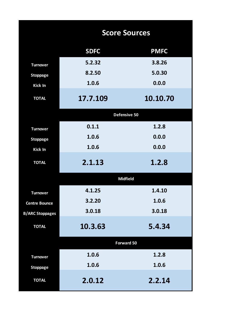|                        | <b>Score Sources</b> |             |
|------------------------|----------------------|-------------|
|                        | <b>SDFC</b>          | <b>PMFC</b> |
| <b>Turnover</b>        | 5.2.32               | 3.8.26      |
| <b>Stoppage</b>        | 8.2.50               | 5.0.30      |
| Kick In                | 1.0.6                | 0.0.0       |
| <b>TOTAL</b>           | 17.7.109             | 10.10.70    |
|                        | Defensive 50         |             |
| <b>Turnover</b>        | 0.1.1                | 1.2.8       |
| <b>Stoppage</b>        | 1.0.6                | 0.0.0       |
| Kick In                | 1.0.6                | 0.0.0       |
| <b>TOTAL</b>           | 2.1.13               | 1.2.8       |
|                        | <b>Midfield</b>      |             |
| <b>Turnover</b>        | 4.1.25               | 1.4.10      |
| <b>Centre Bounce</b>   | 3.2.20               | 1.0.6       |
| <b>B/ARC Stoppages</b> | 3.0.18               | 3.0.18      |
| <b>TOTAL</b>           | 10.3.63              | 5.4.34      |
|                        | Forward 50           |             |
| <b>Turnover</b>        | 1.0.6                | 1.2.8       |
| <b>Stoppage</b>        | 1.0.6                | 1.0.6       |
| <b>TOTAL</b>           | 2.0.12               | 2.2.14      |